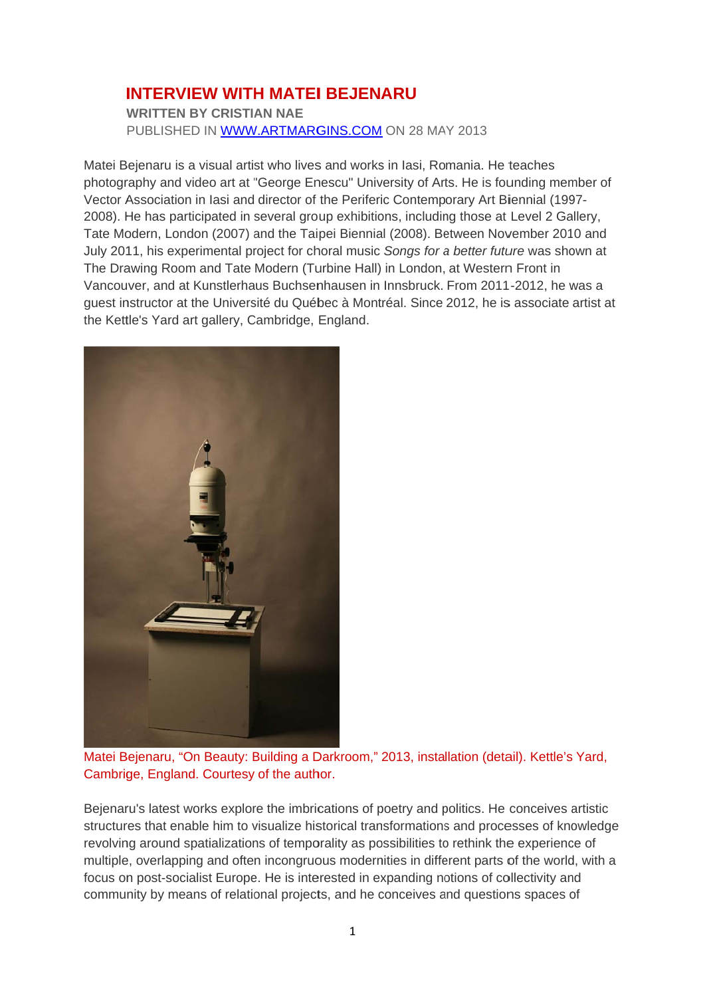## **INTERVIEW WITH MATEI BEJENARU**

**WRITTEN BY CRISTIAN NAE** PUBLISHED IN WWW.ARTMARGINS.COM ON 28 MAY 2013

Matei Bejenaru is a visual artist who lives and works in lasi, Romania. He teaches photography and video art at "George Enescu" University of Arts. He is founding member of Vector Association in lasi and director of the Periferic Contemporary Art Biennial (1997-2008). He has participated in several group exhibitions, including those at Level 2 Gallery. Tate Modern, London (2007) and the Taipei Biennial (2008). Between November 2010 and July 2011, his experimental project for choral music Songs for a better future was shown at The Drawing Room and Tate Modern (Turbine Hall) in London, at Western Front in Vancouver, and at Kunstlerhaus Buchsenhausen in Innsbruck. From 2011-2012, he was a guest instructor at the Université du Québec à Montréal. Since 2012, he is associate artist at the Kettle's Yard art gallery, Cambridge, England.



Matei Bejenaru, "On Beauty: Building a Darkroom," 2013, installation (detail). Kettle's Yard, Cambrige, England. Courtesy of the author.

Bejenaru's latest works explore the imbrications of poetry and politics. He conceives artistic structures that enable him to visualize historical transformations and processes of knowledge revolving around spatializations of temporality as possibilities to rethink the experience of multiple, overlapping and often incongruous modernities in different parts of the world, with a focus on post-socialist Europe. He is interested in expanding notions of collectivity and community by means of relational projects, and he conceives and questions spaces of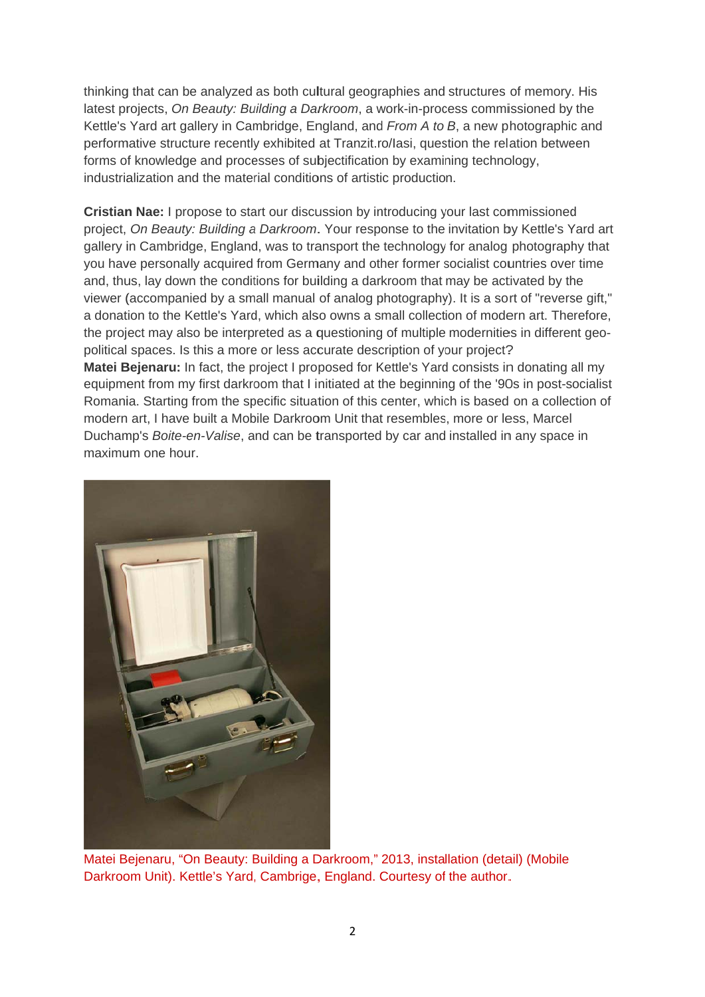thinking that can be analyzed as both cultural geographies and structures of memory. His latest projects, On Beauty: Building a Darkroom, a work-in-process commissioned by the Kettle's Yard art gallery in Cambridge, England, and From A to B, a new photographic and performative structure recently exhibited at Tranzit.ro/lasi, question the relation between forms of knowledge and processes of subjectification by examining technology, industrialization and the material conditions of artistic production.

**Cristian Nae: I propose to start our discussion by introducing your last commissioned** project, On Beauty: Building a Darkroom. Your response to the invitation by Kettle's Yard art gallery in Cambridge, England, was to transport the technology for analog photography that you have personally acquired from Germany and other former socialist countries over time and, thus, lay down the conditions for building a darkroom that may be activated by the viewer (accompanied by a small manual of analog photography). It is a sort of "reverse gift," a donation to the Kettle's Yard, which also owns a small collection of modern art. Therefore, the project may also be interpreted as a questioning of multiple modernities in different geopolitical spaces. Is this a more or less accurate description of your project? Matei Bejenaru: In fact, the project I proposed for Kettle's Yard consists in donating all my equipment from my first darkroom that I initiated at the beginning of the '90s in post-socialist Romania. Starting from the specific situation of this center, which is based on a collection of modern art, I have built a Mobile Darkroom Unit that resembles, more or less, Marcel Duchamp's Boite-en-Valise, and can be transported by car and installed in any space in maximum one hour.



Matei Bejenaru, "On Beauty: Building a Darkroom," 2013, installation (detail) (Mobile Darkroom Unit), Kettle's Yard, Cambrige, England, Courtesy of the author,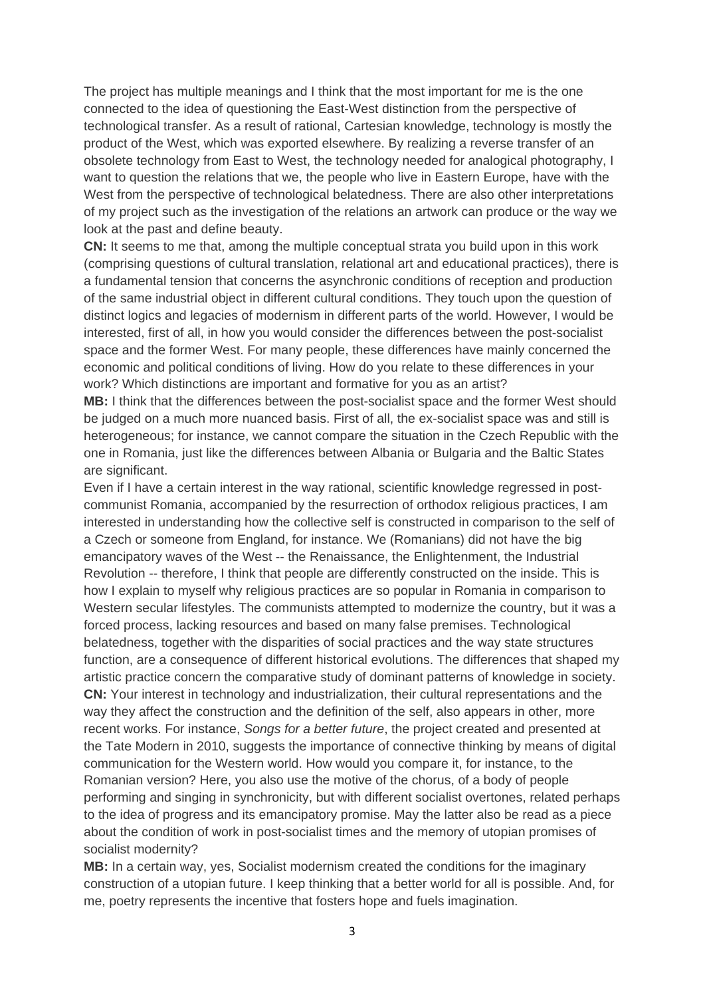The project has multiple meanings and I think that the most important for me is the one connected to the idea of questioning the East-West distinction from the perspective of technological transfer. As a result of rational, Cartesian knowledge, technology is mostly the product of the West, which was exported elsewhere. By realizing a reverse transfer of an obsolete technology from East to West, the technology needed for analogical photography, I want to question the relations that we, the people who live in Eastern Europe, have with the West from the perspective of technological belatedness. There are also other interpretations of my project such as the investigation of the relations an artwork can produce or the way we look at the past and define beauty.

**CN:** It seems to me that, among the multiple conceptual strata you build upon in this work (comprising questions of cultural translation, relational art and educational practices), there is a fundamental tension that concerns the asynchronic conditions of reception and production of the same industrial object in different cultural conditions. They touch upon the question of distinct logics and legacies of modernism in different parts of the world. However, I would be interested, first of all, in how you would consider the differences between the post-socialist space and the former West. For many people, these differences have mainly concerned the economic and political conditions of living. How do you relate to these differences in your work? Which distinctions are important and formative for you as an artist?

**MB:** I think that the differences between the post-socialist space and the former West should be judged on a much more nuanced basis. First of all, the ex-socialist space was and still is heterogeneous; for instance, we cannot compare the situation in the Czech Republic with the one in Romania, just like the differences between Albania or Bulgaria and the Baltic States are significant.

Even if I have a certain interest in the way rational, scientific knowledge regressed in postcommunist Romania, accompanied by the resurrection of orthodox religious practices, I am interested in understanding how the collective self is constructed in comparison to the self of a Czech or someone from England, for instance. We (Romanians) did not have the big emancipatory waves of the West -- the Renaissance, the Enlightenment, the Industrial Revolution -- therefore, I think that people are differently constructed on the inside. This is how I explain to myself why religious practices are so popular in Romania in comparison to Western secular lifestyles. The communists attempted to modernize the country, but it was a forced process, lacking resources and based on many false premises. Technological belatedness, together with the disparities of social practices and the way state structures function, are a consequence of different historical evolutions. The differences that shaped my artistic practice concern the comparative study of dominant patterns of knowledge in society. **CN:** Your interest in technology and industrialization, their cultural representations and the way they affect the construction and the definition of the self, also appears in other, more recent works. For instance, *Songs for a better future*, the project created and presented at the Tate Modern in 2010, suggests the importance of connective thinking by means of digital communication for the Western world. How would you compare it, for instance, to the Romanian version? Here, you also use the motive of the chorus, of a body of people performing and singing in synchronicity, but with different socialist overtones, related perhaps to the idea of progress and its emancipatory promise. May the latter also be read as a piece about the condition of work in post-socialist times and the memory of utopian promises of socialist modernity?

**MB:** In a certain way, yes, Socialist modernism created the conditions for the imaginary construction of a utopian future. I keep thinking that a better world for all is possible. And, for me, poetry represents the incentive that fosters hope and fuels imagination.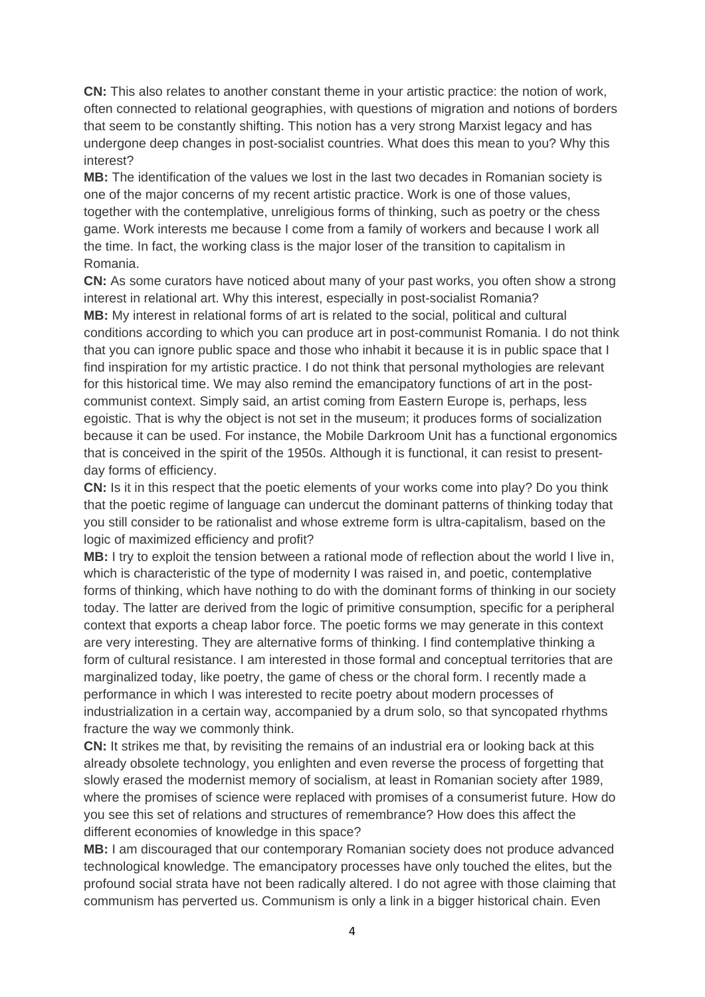**CN:** This also relates to another constant theme in your artistic practice: the notion of work, often connected to relational geographies, with questions of migration and notions of borders that seem to be constantly shifting. This notion has a very strong Marxist legacy and has undergone deep changes in post-socialist countries. What does this mean to you? Why this interest?

**MB:** The identification of the values we lost in the last two decades in Romanian society is one of the major concerns of my recent artistic practice. Work is one of those values, together with the contemplative, unreligious forms of thinking, such as poetry or the chess game. Work interests me because I come from a family of workers and because I work all the time. In fact, the working class is the major loser of the transition to capitalism in Romania.

**CN:** As some curators have noticed about many of your past works, you often show a strong interest in relational art. Why this interest, especially in post-socialist Romania? **MB:** My interest in relational forms of art is related to the social, political and cultural conditions according to which you can produce art in post-communist Romania. I do not think that you can ignore public space and those who inhabit it because it is in public space that I find inspiration for my artistic practice. I do not think that personal mythologies are relevant for this historical time. We may also remind the emancipatory functions of art in the postcommunist context. Simply said, an artist coming from Eastern Europe is, perhaps, less egoistic. That is why the object is not set in the museum; it produces forms of socialization because it can be used. For instance, the Mobile Darkroom Unit has a functional ergonomics that is conceived in the spirit of the 1950s. Although it is functional, it can resist to presentday forms of efficiency.

**CN:** Is it in this respect that the poetic elements of your works come into play? Do you think that the poetic regime of language can undercut the dominant patterns of thinking today that you still consider to be rationalist and whose extreme form is ultra-capitalism, based on the logic of maximized efficiency and profit?

**MB:** I try to exploit the tension between a rational mode of reflection about the world I live in, which is characteristic of the type of modernity I was raised in, and poetic, contemplative forms of thinking, which have nothing to do with the dominant forms of thinking in our society today. The latter are derived from the logic of primitive consumption, specific for a peripheral context that exports a cheap labor force. The poetic forms we may generate in this context are very interesting. They are alternative forms of thinking. I find contemplative thinking a form of cultural resistance. I am interested in those formal and conceptual territories that are marginalized today, like poetry, the game of chess or the choral form. I recently made a performance in which I was interested to recite poetry about modern processes of industrialization in a certain way, accompanied by a drum solo, so that syncopated rhythms fracture the way we commonly think.

**CN:** It strikes me that, by revisiting the remains of an industrial era or looking back at this already obsolete technology, you enlighten and even reverse the process of forgetting that slowly erased the modernist memory of socialism, at least in Romanian society after 1989, where the promises of science were replaced with promises of a consumerist future. How do you see this set of relations and structures of remembrance? How does this affect the different economies of knowledge in this space?

**MB:** I am discouraged that our contemporary Romanian society does not produce advanced technological knowledge. The emancipatory processes have only touched the elites, but the profound social strata have not been radically altered. I do not agree with those claiming that communism has perverted us. Communism is only a link in a bigger historical chain. Even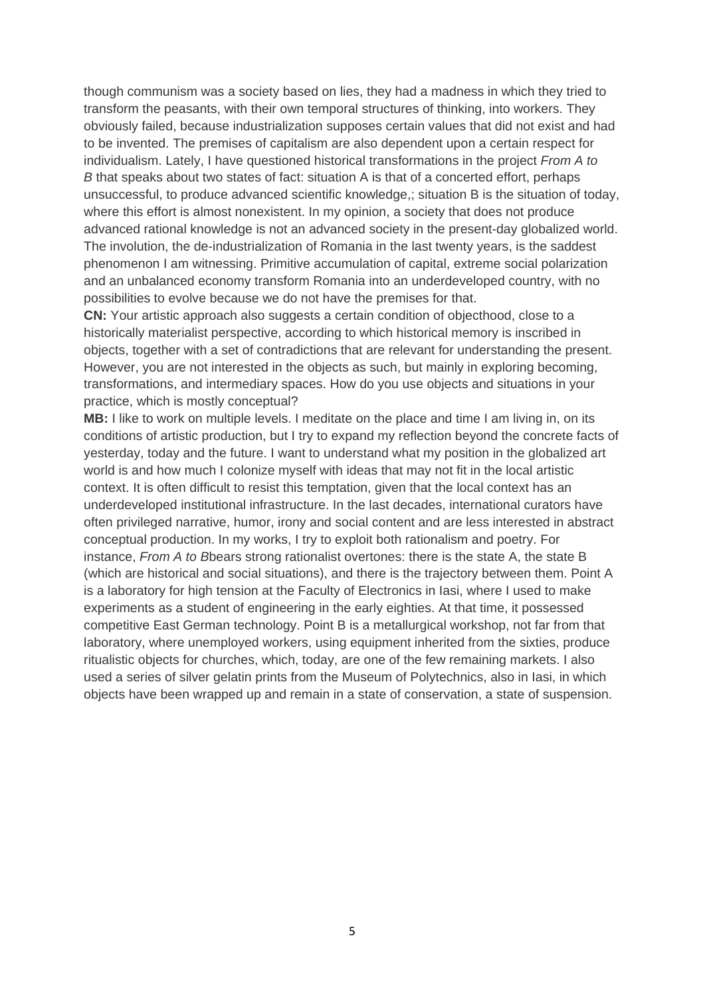though communism was a society based on lies, they had a madness in which they tried to transform the peasants, with their own temporal structures of thinking, into workers. They obviously failed, because industrialization supposes certain values that did not exist and had to be invented. The premises of capitalism are also dependent upon a certain respect for individualism. Lately, I have questioned historical transformations in the project *From A to B* that speaks about two states of fact: situation A is that of a concerted effort, perhaps unsuccessful, to produce advanced scientific knowledge,; situation B is the situation of today, where this effort is almost nonexistent. In my opinion, a society that does not produce advanced rational knowledge is not an advanced society in the present-day globalized world. The involution, the de-industrialization of Romania in the last twenty years, is the saddest phenomenon I am witnessing. Primitive accumulation of capital, extreme social polarization and an unbalanced economy transform Romania into an underdeveloped country, with no possibilities to evolve because we do not have the premises for that.

**CN:** Your artistic approach also suggests a certain condition of objecthood, close to a historically materialist perspective, according to which historical memory is inscribed in objects, together with a set of contradictions that are relevant for understanding the present. However, you are not interested in the objects as such, but mainly in exploring becoming, transformations, and intermediary spaces. How do you use objects and situations in your practice, which is mostly conceptual?

**MB:** I like to work on multiple levels. I meditate on the place and time I am living in, on its conditions of artistic production, but I try to expand my reflection beyond the concrete facts of yesterday, today and the future. I want to understand what my position in the globalized art world is and how much I colonize myself with ideas that may not fit in the local artistic context. It is often difficult to resist this temptation, given that the local context has an underdeveloped institutional infrastructure. In the last decades, international curators have often privileged narrative, humor, irony and social content and are less interested in abstract conceptual production. In my works, I try to exploit both rationalism and poetry. For instance, *From A to B*bears strong rationalist overtones: there is the state A, the state B (which are historical and social situations), and there is the trajectory between them. Point A is a laboratory for high tension at the Faculty of Electronics in Iasi, where I used to make experiments as a student of engineering in the early eighties. At that time, it possessed competitive East German technology. Point B is a metallurgical workshop, not far from that laboratory, where unemployed workers, using equipment inherited from the sixties, produce ritualistic objects for churches, which, today, are one of the few remaining markets. I also used a series of silver gelatin prints from the Museum of Polytechnics, also in Iasi, in which objects have been wrapped up and remain in a state of conservation, a state of suspension.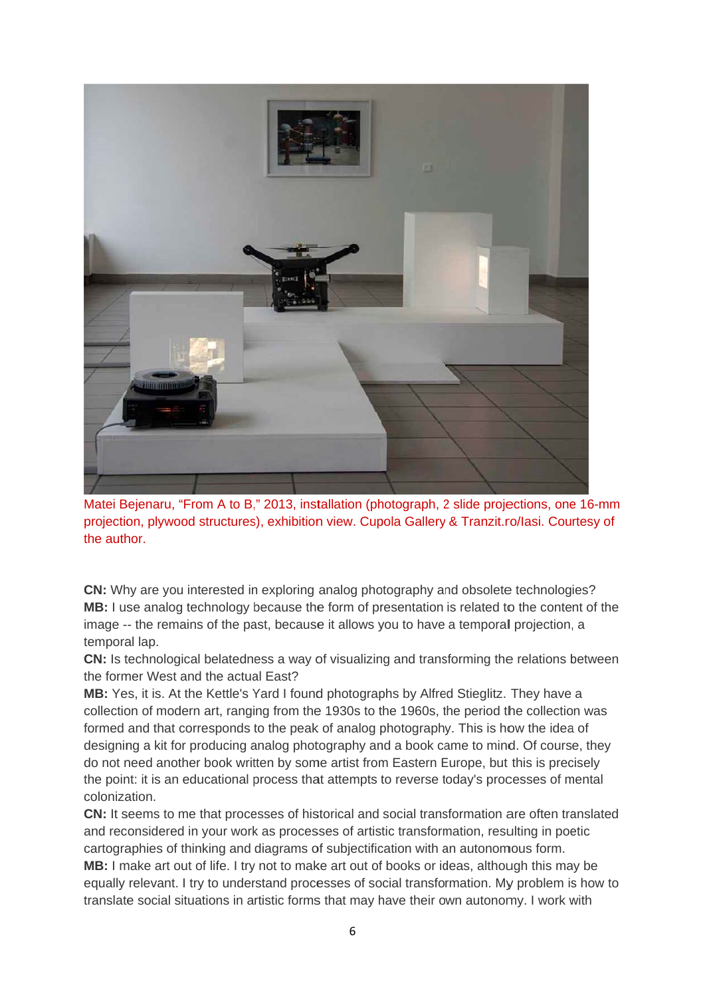

Matei Bejenaru, "From A to B," 2013, installation (photograph, 2 slide projections, one 16-mm projection, plywood structures), exhibition view. Cupola Gallery & Tranzit.ro/lasi. Courtesy of the author.

**CN:** Why are you interested in exploring analog photography and obsolete technologies? MB: I use analog technology because the form of presentation is related to the content of the image -- the remains of the past, because it allows you to have a temporal projection, a temporal lap.

CN: Is technological belatedness a way of visualizing and transforming the relations between the former West and the actual East?

MB: Yes, it is, At the Kettle's Yard I found photographs by Alfred Stieglitz. They have a collection of modern art, ranging from the 1930s to the 1960s, the period the collection was formed and that corresponds to the peak of analog photography. This is how the idea of designing a kit for producing analog photography and a book came to mind. Of course, they do not need another book written by some artist from Eastern Europe, but this is precisely the point: it is an educational process that attempts to reverse today's processes of mental colonization.

CN: It seems to me that processes of historical and social transformation are often translated and reconsidered in your work as processes of artistic transformation, resulting in poetic cartographies of thinking and diagrams of subjectification with an autonomous form. MB: I make art out of life. I try not to make art out of books or ideas, although this may be equally relevant. I try to understand processes of social transformation. My problem is how to translate social situations in artistic forms that may have their own autonomy. I work with